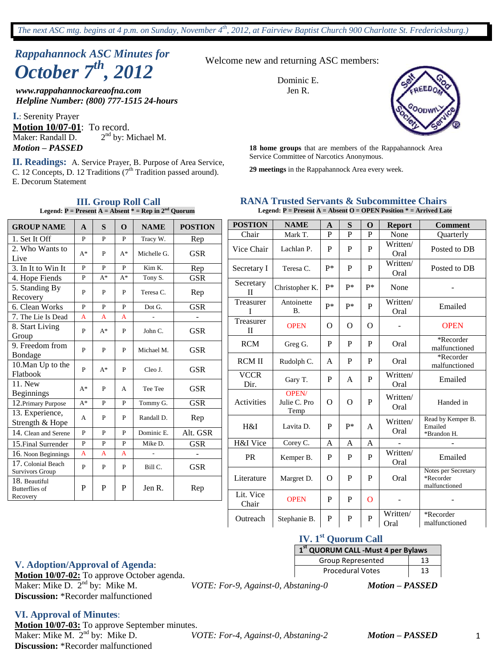# *Rappahannock ASC Minutes for October 7th , 2012*

*www.rappahannockareaofna.com Helpline Number: (800) 777-1515 24-hours*

**I.**: Serenity Prayer **Motion 10/07-01**: To record. Maker: Randall D. 2  $2<sup>nd</sup>$  by: Michael M.

Service Committee of Narcotics Anonymous. **II. Readings:** A. Service Prayer, B. Purpose of Area Service, C. 12 Concepts, D. 12 Traditions  $(7<sup>th</sup>$  Tradition passed around). E. Decorum Statement

Welcome new and returning ASC members:

Dominic E. Jen R.



*Motion – PASSED* **18 home groups** that are members of the Rappahannock Area

**29 meetings** in the Rappahannock Area every week.

#### **RANA Trusted Servants & Subcommittee Chairs Legend: P = Present A = Absent O = OPEN Position \* = Arrived Late**

| <b>GROUP NAME</b>                                  | A              | S            | $\mathbf 0$ | <b>NAME</b> | <b>POSTION</b> |
|----------------------------------------------------|----------------|--------------|-------------|-------------|----------------|
| 1. Set It Off                                      | P              | P            | P           | Tracy W.    | Rep            |
| 2. Who Wants to<br>Live                            | $A^*$          | P            | $A^*$       | Michelle G. | <b>GSR</b>     |
| 3. In It to Win It                                 | $\mathbf{P}$   | $\mathbf{P}$ | P           | Kim K.      | Rep            |
| 4. Hope Fiends                                     | P              | $A^*$        | A*          | Tony S.     | <b>GSR</b>     |
| 5. Standing By<br>Recovery                         | P              | P            | P           | Teresa C.   | Rep            |
| 6. Clean Works                                     | $\overline{P}$ | $\mathbf{P}$ | P           | Dot G.      | <b>GSR</b>     |
| 7. The Lie Is Dead                                 | A              | $\mathbf{A}$ | A           |             |                |
| 8. Start Living<br>Group                           | P              | $A^*$        | P           | John C.     | <b>GSR</b>     |
| 9. Freedom from<br>Bondage                         | P              | P            | P           | Michael M.  | <b>GSR</b>     |
| 10. Man Up to the<br>Flatbook                      | P              | $A^*$        | P           | Cleo J.     | <b>GSR</b>     |
| 11. New<br><b>Beginnings</b>                       | $A^*$          | P            | A           | Tee Tee     | GSR            |
| 12. Primary Purpose                                | $A^*$          | P            | P           | Tommy G.    | <b>GSR</b>     |
| 13. Experience,<br>Strength & Hope                 | A              | P            | P           | Randall D.  | Rep            |
| 14. Clean and Serene                               | P              | P            | P           | Dominic E.  | Alt. GSR       |
| 15. Final Surrender                                | P              | P            | P           | Mike D.     | <b>GSR</b>     |
| 16. Noon Beginnings                                | A              | A            | A           |             |                |
| 17. Colonial Beach<br>Survivors Group              | P              | P            | P           | Bill C.     | <b>GSR</b>     |
| 18. Beautiful<br><b>Butterflies of</b><br>Recovery | P              | P            | P           | Jen R.      | Rep            |

| <b>POSTION</b>            | <b>NAME</b>                   | $\mathbf{A}$ | S        | $\Omega$ | <b>Report</b>    | <b>Comment</b>                                    |
|---------------------------|-------------------------------|--------------|----------|----------|------------------|---------------------------------------------------|
| Chair                     | Mark T.                       | P            | P        | P        | None             | <b>Ouarterly</b>                                  |
| Vice Chair                | Lachlan P.                    | P            | P        | P        | Written/<br>Oral | Posted to DB                                      |
| Secretary I               | Teresa C.                     | p*           | P        | P        | Written/<br>Oral | Posted to DB                                      |
| Secretary<br>$\mathbf{H}$ | Christopher K.                | $p*$         | $p*$     | p*       | None             |                                                   |
| Treasurer<br>T            | Antoinette<br><b>B.</b>       | $P*$         | $P*$     | P        | Written/<br>Oral | Emailed                                           |
| Treasurer<br>$\mathbf{I}$ | <b>OPEN</b>                   | O            | $\Omega$ | $\Omega$ |                  | <b>OPEN</b>                                       |
| <b>RCM</b>                | Greg G.                       | P            | P        | P        | Oral             | *Recorder<br>malfunctioned                        |
| <b>RCMII</b>              | Rudolph C.                    | A            | P        | P        | Oral             | *Recorder<br>malfunctioned                        |
| <b>VCCR</b><br>Dir.       | Gary T.                       | P            | A        | P        | Written/<br>Oral | Emailed                                           |
| Activities                | OPEN/<br>Julie C. Pro<br>Temp | O            | $\Omega$ | P        | Written/<br>Oral | Handed in                                         |
| H&I                       | Lavita D.                     | P            | p*       | A        | Written/<br>Oral | Read by Kemper B.<br>Emailed<br>*Brandon H.       |
| H&I Vice                  | Corey C.                      | A            | A        | A        |                  |                                                   |
| PR                        | Kemper B.                     | P            | P        | P        | Written/<br>Oral | Emailed                                           |
| Literature                | Margret D.                    | O            | P        | P        | Oral             | Notes per Secretary<br>*Recorder<br>malfunctioned |
| Lit. Vice<br>Chair        | <b>OPEN</b>                   | P            | P        | $\Omega$ |                  |                                                   |
| Outreach                  | Stephanie B.                  | P            | P        | P        | Written/<br>Oral | *Recorder<br>malfunctioned                        |

#### **III. Group Roll Call Legend:**  $P =$  Present  $A =$  Absent  $* =$  Rep in  $2^{nd}$  Quorum

#### **IV. 1st Quorum Call**

| 1st QUORUM CALL - Must 4 per Bylaws |    |  |  |  |
|-------------------------------------|----|--|--|--|
| Group Represented                   | 13 |  |  |  |
| <b>Procedural Votes</b>             | 13 |  |  |  |

nd by: Mike M. *VOTE: For-9, Against-0, Abstaning-0 Motion – PASSED*

**V. Adoption/Approval of Agenda**:

**Motion 10/07-02:** To approve October agenda. Maker: Mike D.  $2<sup>nd</sup>$  by: Mike M. **Discussion:** \*Recorder malfunctioned

**VI. Approval of Minutes**:

**Motion 10/07-03:** To approve September minutes. Maker: Mike M.  $2<sup>nd</sup>$  by: Mike D. **Discussion:** \*Recorder malfunctioned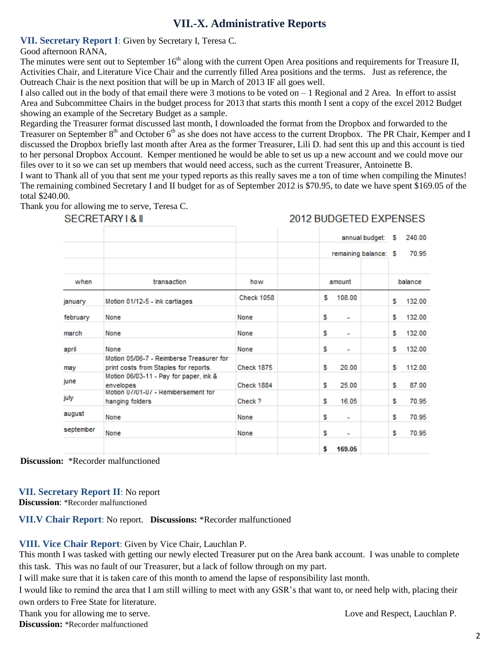# **VII.-X. Administrative Reports**

#### **VII. Secretary Report I**: Given by Secretary I, Teresa C.

#### Good afternoon RANA,

The minutes were sent out to September 16<sup>th</sup> along with the current Open Area positions and requirements for Treasure II, Activities Chair, and Literature Vice Chair and the currently filled Area positions and the terms. Just as reference, the Outreach Chair is the next position that will be up in March of 2013 IF all goes well.

I also called out in the body of that email there were 3 motions to be voted on – 1 Regional and 2 Area. In effort to assist Area and Subcommittee Chairs in the budget process for 2013 that starts this month I sent a copy of the excel 2012 Budget showing an example of the Secretary Budget as a sample.

Regarding the Treasurer format discussed last month, I downloaded the format from the Dropbox and forwarded to the Treasurer on September 8th and October 6th as she does not have access to the current Dropbox. The PR Chair, Kemper and I discussed the Dropbox briefly last month after Area as the former Treasurer, Lili D. had sent this up and this account is tied to her personal Dropbox Account. Kemper mentioned he would be able to set us up a new account and we could move our files over to it so we can set up members that would need access, such as the current Treasurer, Antoinette B.

I want to Thank all of you that sent me your typed reports as this really saves me a ton of time when compiling the Minutes! The remaining combined Secretary I and II budget for as of September 2012 is \$70.95, to date we have spent \$169.05 of the total \$240.00.

Thank you for allowing me to serve, Teresa C.

|           |                                                                                   |                   |   |                          | annual budget: \$     |   | 240.00  |
|-----------|-----------------------------------------------------------------------------------|-------------------|---|--------------------------|-----------------------|---|---------|
|           |                                                                                   |                   |   |                          | remaining balance: \$ |   | 70.95   |
|           |                                                                                   |                   |   |                          |                       |   |         |
| when      | transaction                                                                       | how               |   | amount                   |                       |   | balance |
| anuary    | Motion 01/12-5 - ink cartiages                                                    | <b>Check 1058</b> | s | 108.00                   |                       | s | 132.00  |
| february  | None                                                                              | None              | s | $\overline{\phantom{0}}$ |                       | s | 132.00  |
| march     | None                                                                              | None              | s | ٠                        |                       | s | 132.00  |
| april     | None                                                                              | None              | s | ۰                        |                       | s | 132.00  |
| may       | Motion 05/06-7 - Reimberse Treasurer for<br>print costs from Staples for reports. | <b>Check 1875</b> | s | 20.00                    |                       | s | 112.00  |
| iune      | Motion 06/03-11 - Pay for paper, ink &<br>envelopes                               | Check 1884        | s | 25.00                    |                       | s | 87.00   |
| iuly      | Motion 0//01-0/ - Remibersement for<br>hanging folders                            | Check ?           | s | 16.05                    |                       | s | 70.95   |
| auqust    | None                                                                              | None              | s | ٠                        |                       | s | 70.95   |
| september | None                                                                              | None              | s | ۰                        |                       | s | 70.95   |
|           |                                                                                   |                   | s | 169.05                   |                       |   |         |

SECRETARY I & II

2012 BUDGETED EXPENSES

**Discussion:** \*Recorder malfunctioned

# **VII. Secretary Report II**: No report

**Discussion**: \*Recorder malfunctioned

**VII.V Chair Report**: No report. **Discussions:** \*Recorder malfunctioned

## **VIII. Vice Chair Report**: Given by Vice Chair, Lauchlan P.

This month I was tasked with getting our newly elected Treasurer put on the Area bank account. I was unable to complete this task. This was no fault of our Treasurer, but a lack of follow through on my part.

I will make sure that it is taken care of this month to amend the lapse of responsibility last month.

I would like to remind the area that I am still willing to meet with any GSR's that want to, or need help with, placing their own orders to Free State for literature.

Thank you for allowing me to serve. Love and Respect, Lauchlan P. **Discussion:** \*Recorder malfunctioned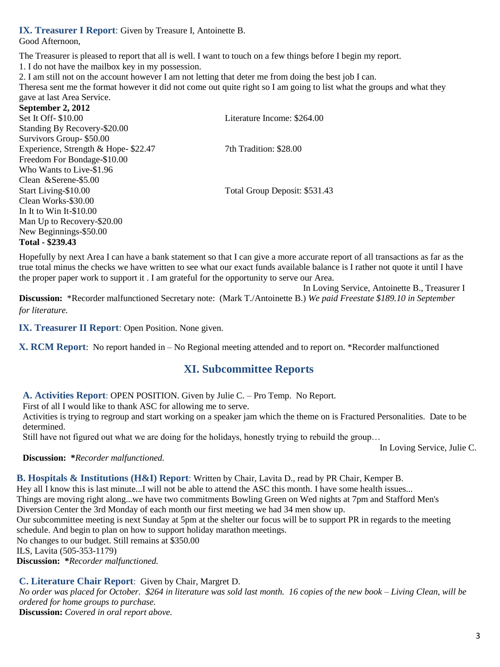#### **IX. Treasurer I Report**: Given by Treasure I, Antoinette B.

Good Afternoon,

The Treasurer is pleased to report that all is well. I want to touch on a few things before I begin my report.

1. I do not have the mailbox key in my possession.

2. I am still not on the account however I am not letting that deter me from doing the best job I can.

Theresa sent me the format however it did not come out quite right so I am going to list what the groups and what they gave at last Area Service.

**September 2, 2012** Set It Off- \$10.00 Literature Income: \$264.00 Standing By Recovery-\$20.00 Survivors Group- \$50.00 Experience, Strength & Hope- \$22.47 7th Tradition: \$28.00 Freedom For Bondage-\$10.00 Who Wants to Live-\$1.96 Clean &Serene-\$5.00 Start Living-\$10.00 Total Group Deposit: \$531.43 Clean Works-\$30.00 In It to Win It-\$10.00 Man Up to Recovery-\$20.00 New Beginnings-\$50.00 **Total - \$239.43**

Hopefully by next Area I can have a bank statement so that I can give a more accurate report of all transactions as far as the true total minus the checks we have written to see what our exact funds available balance is I rather not quote it until I have the proper paper work to support it . I am grateful for the opportunity to serve our Area.

In Loving Service, Antoinette B., Treasurer I **Discussion:** \*Recorder malfunctioned Secretary note: (Mark T./Antoinette B.) *We paid Freestate \$189.10 in September for literature.*

**IX. Treasurer II Report**: Open Position. None given.

**X. RCM Report**: No report handed in – No Regional meeting attended and to report on. \*Recorder malfunctioned

# **XI. Subcommittee Reports**

**A. Activities Report**: OPEN POSITION. Given by Julie C. – Pro Temp. No Report.

First of all I would like to thank ASC for allowing me to serve.

Activities is trying to regroup and start working on a speaker jam which the theme on is Fractured Personalities. Date to be determined.

Still have not figured out what we are doing for the holidays, honestly trying to rebuild the group…

In Loving Service, Julie C.

**Discussion: \****Recorder malfunctioned.*

**B. Hospitals & Institutions (H&I) Report**: Written by Chair, Lavita D., read by PR Chair, Kemper B.

Hey all I know this is last minute...I will not be able to attend the ASC this month. I have some health issues...

Things are moving right along...we have two commitments Bowling Green on Wed nights at 7pm and Stafford Men's Diversion Center the 3rd Monday of each month our first meeting we had 34 men show up.

Our subcommittee meeting is next Sunday at 5pm at the shelter our focus will be to support PR in regards to the meeting schedule. And begin to plan on how to support holiday marathon meetings.

No changes to our budget. Still remains at \$350.00

ILS, Lavita (505-353-1179)

**Discussion: \****Recorder malfunctioned.*

**C. Literature Chair Report**: Given by Chair, Margret D.

*No order was placed for October. \$264 in literature was sold last month. 16 copies of the new book – Living Clean, will be ordered for home groups to purchase.* **Discussion:** *Covered in oral report above.*

3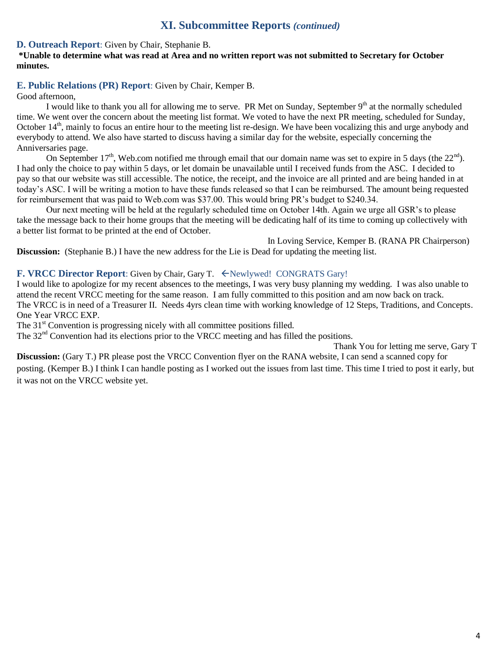# **XI. Subcommittee Reports** *(continued)*

#### **D. Outreach Report**: Given by Chair, Stephanie B.

#### **\*Unable to determine what was read at Area and no written report was not submitted to Secretary for October minutes.**

## **E. Public Relations (PR) Report**: Given by Chair, Kemper B.

Good afternoon,

I would like to thank you all for allowing me to serve. PR Met on Sunday, September 9<sup>th</sup> at the normally scheduled time. We went over the concern about the meeting list format. We voted to have the next PR meeting, scheduled for Sunday, October 14<sup>th</sup>, mainly to focus an entire hour to the meeting list re-design. We have been vocalizing this and urge anybody and everybody to attend. We also have started to discuss having a similar day for the website, especially concerning the Anniversaries page.

On September 17<sup>th</sup>, Web.com notified me through email that our domain name was set to expire in 5 days (the  $22<sup>nd</sup>$ ). I had only the choice to pay within 5 days, or let domain be unavailable until I received funds from the ASC. I decided to pay so that our website was still accessible. The notice, the receipt, and the invoice are all printed and are being handed in at today's ASC. I will be writing a motion to have these funds released so that I can be reimbursed. The amount being requested for reimbursement that was paid to Web.com was \$37.00. This would bring PR's budget to \$240.34.

Our next meeting will be held at the regularly scheduled time on October 14th. Again we urge all GSR's to please take the message back to their home groups that the meeting will be dedicating half of its time to coming up collectively with a better list format to be printed at the end of October.

In Loving Service, Kemper B. (RANA PR Chairperson) **Discussion:** (Stephanie B.) I have the new address for the Lie is Dead for updating the meeting list.

#### F. VRCC Director Report: Given by Chair, Gary T.  $\leftarrow$  Newlywed! CONGRATS Gary!

I would like to apologize for my recent absences to the meetings, I was very busy planning my wedding. I was also unable to attend the recent VRCC meeting for the same reason. I am fully committed to this position and am now back on track. The VRCC is in need of a Treasurer II. Needs 4yrs clean time with working knowledge of 12 Steps, Traditions, and Concepts. One Year VRCC EXP.

The 31<sup>st</sup> Convention is progressing nicely with all committee positions filled.

The 32<sup>nd</sup> Convention had its elections prior to the VRCC meeting and has filled the positions.

Thank You for letting me serve, Gary T

**Discussion:** (Gary T.) PR please post the VRCC Convention flyer on the RANA website, I can send a scanned copy for posting. (Kemper B.) I think I can handle posting as I worked out the issues from last time. This time I tried to post it early, but it was not on the VRCC website yet.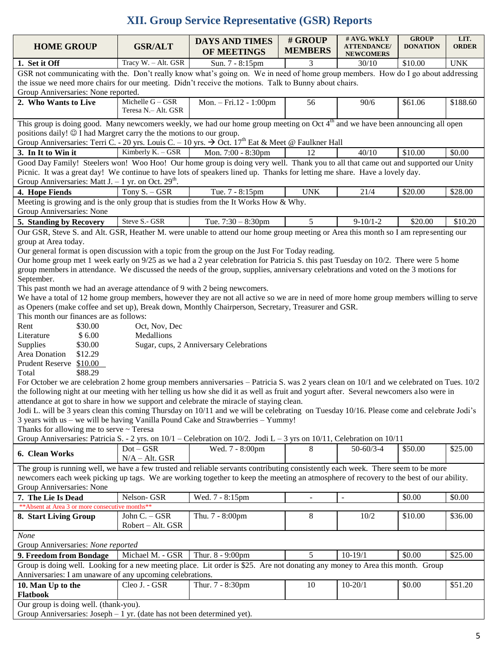# **XII. Group Service Representative (GSR) Reports**

| <b>HOME GROUP</b>                                                                                                                                                                                                                                                                                                                   | <b>GSR/ALT</b>                          | <b>DAYS AND TIMES</b>                   | # GROUP<br><b>MEMBERS</b> | # AVG. WKLY<br><b>ATTENDANCE/</b> | <b>GROUP</b><br><b>DONATION</b> | LIT.<br><b>ORDER</b> |  |
|-------------------------------------------------------------------------------------------------------------------------------------------------------------------------------------------------------------------------------------------------------------------------------------------------------------------------------------|-----------------------------------------|-----------------------------------------|---------------------------|-----------------------------------|---------------------------------|----------------------|--|
|                                                                                                                                                                                                                                                                                                                                     |                                         | OF MEETINGS                             |                           | <b>NEWCOMERS</b>                  |                                 |                      |  |
| 1. Set it Off                                                                                                                                                                                                                                                                                                                       | Tracy W. - Alt. GSR                     | Sun. 7 - 8:15pm                         | 3                         | 30/10                             | \$10.00                         | <b>UNK</b>           |  |
| GSR not communicating with the. Don't really know what's going on. We in need of home group members. How do I go about addressing<br>the issue we need more chairs for our meeting. Didn't receive the motions. Talk to Bunny about chairs.                                                                                         |                                         |                                         |                           |                                   |                                 |                      |  |
| Group Anniversaries: None reported.                                                                                                                                                                                                                                                                                                 |                                         |                                         |                           |                                   |                                 |                      |  |
| 2. Who Wants to Live                                                                                                                                                                                                                                                                                                                | Michelle G - GSR<br>Teresa N.- Alt. GSR | Mon. - Fri.12 - 1:00pm                  | 56                        | 90/6                              | \$61.06                         | \$188.60             |  |
| This group is doing good. Many newcomers weekly, we had our home group meeting on Oct 4 <sup>th</sup> and we have been announcing all open                                                                                                                                                                                          |                                         |                                         |                           |                                   |                                 |                      |  |
| positions daily! © I had Margret carry the the motions to our group.                                                                                                                                                                                                                                                                |                                         |                                         |                           |                                   |                                 |                      |  |
| Group Anniversaries: Terri C. - 20 yrs. Louis C. - 10 yrs. $\rightarrow$ Oct. 17 <sup>th</sup> Eat & Meet @ Faulkner Hall                                                                                                                                                                                                           |                                         |                                         |                           |                                   |                                 |                      |  |
| 3. In It to Win it                                                                                                                                                                                                                                                                                                                  | Kimberly K. - GSR                       | Mon. $7:00 - 8:30$ pm                   | 12                        | 40/10                             | \$10.00                         | \$0.00               |  |
| Good Day Family! Steelers won! Woo Hoo! Our home group is doing very well. Thank you to all that came out and supported our Unity<br>Picnic. It was a great day! We continue to have lots of speakers lined up. Thanks for letting me share. Have a lovely day.<br>Group Anniversaries: Matt J. $-1$ yr. on Oct. 29 <sup>th</sup> . |                                         |                                         |                           |                                   |                                 |                      |  |
| 4. Hope Fiends                                                                                                                                                                                                                                                                                                                      | Tony $S. - GSR$                         | Tue. 7 - 8:15pm                         | <b>UNK</b>                | 21/4                              | \$20.00                         | \$28.00              |  |
| Meeting is growing and is the only group that is studies from the It Works How & Why.                                                                                                                                                                                                                                               |                                         |                                         |                           |                                   |                                 |                      |  |
| Group Anniversaries: None                                                                                                                                                                                                                                                                                                           |                                         |                                         |                           |                                   |                                 |                      |  |
| 5. Standing by Recovery                                                                                                                                                                                                                                                                                                             | Steve S.- GSR                           | Tue. $7:30 - 8:30$ pm                   | 5                         | $9-10/1-2$                        | \$20.00                         | \$10.20              |  |
| Our GSR, Steve S. and Alt. GSR, Heather M. were unable to attend our home group meeting or Area this month so I am representing our                                                                                                                                                                                                 |                                         |                                         |                           |                                   |                                 |                      |  |
| group at Area today.                                                                                                                                                                                                                                                                                                                |                                         |                                         |                           |                                   |                                 |                      |  |
| Our general format is open discussion with a topic from the group on the Just For Today reading.                                                                                                                                                                                                                                    |                                         |                                         |                           |                                   |                                 |                      |  |
| Our home group met 1 week early on 9/25 as we had a 2 year celebration for Patricia S. this past Tuesday on 10/2. There were 5 home                                                                                                                                                                                                 |                                         |                                         |                           |                                   |                                 |                      |  |
| group members in attendance. We discussed the needs of the group, supplies, anniversary celebrations and voted on the 3 motions for<br>September.                                                                                                                                                                                   |                                         |                                         |                           |                                   |                                 |                      |  |
| This past month we had an average attendance of 9 with 2 being newcomers.                                                                                                                                                                                                                                                           |                                         |                                         |                           |                                   |                                 |                      |  |
| We have a total of 12 home group members, however they are not all active so we are in need of more home group members willing to serve                                                                                                                                                                                             |                                         |                                         |                           |                                   |                                 |                      |  |
| as Openers (make coffee and set up), Break down, Monthly Chairperson, Secretary, Treasurer and GSR.                                                                                                                                                                                                                                 |                                         |                                         |                           |                                   |                                 |                      |  |
| This month our finances are as follows:                                                                                                                                                                                                                                                                                             |                                         |                                         |                           |                                   |                                 |                      |  |
| Rent<br>\$30.00<br>\$6.00<br>Literature                                                                                                                                                                                                                                                                                             | Oct, Nov, Dec<br>Medallions             |                                         |                           |                                   |                                 |                      |  |
| Supplies<br>\$30.00                                                                                                                                                                                                                                                                                                                 |                                         | Sugar, cups, 2 Anniversary Celebrations |                           |                                   |                                 |                      |  |
| Area Donation<br>\$12.29                                                                                                                                                                                                                                                                                                            |                                         |                                         |                           |                                   |                                 |                      |  |
| Prudent Reserve \$10.00                                                                                                                                                                                                                                                                                                             |                                         |                                         |                           |                                   |                                 |                      |  |
| \$88.29<br>Total                                                                                                                                                                                                                                                                                                                    |                                         |                                         |                           |                                   |                                 |                      |  |
| For October we are celebration 2 home group members anniversaries - Patricia S. was 2 years clean on 10/1 and we celebrated on Tues. 10/2                                                                                                                                                                                           |                                         |                                         |                           |                                   |                                 |                      |  |
|                                                                                                                                                                                                                                                                                                                                     |                                         |                                         |                           |                                   |                                 |                      |  |
| the following night at our meeting with her telling us how she did it as well as fruit and yogurt after. Several newcomers also were in<br>attendance at got to share in how we support and celebrate the miracle of staying clean.                                                                                                 |                                         |                                         |                           |                                   |                                 |                      |  |
| Jodi L. will be 3 years clean this coming Thursday on 10/11 and we will be celebrating on Tuesday 10/16. Please come and celebrate Jodi's                                                                                                                                                                                           |                                         |                                         |                           |                                   |                                 |                      |  |
| 3 years with us - we will be having Vanilla Pound Cake and Strawberries - Yummy!                                                                                                                                                                                                                                                    |                                         |                                         |                           |                                   |                                 |                      |  |
| Thanks for allowing me to serve ~ Teresa                                                                                                                                                                                                                                                                                            |                                         |                                         |                           |                                   |                                 |                      |  |
| Group Anniversaries: Patricia S. - 2 yrs. on 10/1 - Celebration on 10/2. Jodi L - 3 yrs on 10/11, Celebration on 10/11                                                                                                                                                                                                              |                                         |                                         |                           |                                   |                                 |                      |  |
| 6. Clean Works                                                                                                                                                                                                                                                                                                                      | $Dot - GSR$<br>$N/A - Alt. GSR$         | Wed. 7 - 8:00pm                         | 8                         | $50 - 60/3 - 4$                   | \$50.00                         | \$25.00              |  |
| The group is running well, we have a few trusted and reliable servants contributing consistently each week. There seem to be more                                                                                                                                                                                                   |                                         |                                         |                           |                                   |                                 |                      |  |
| newcomers each week picking up tags. We are working together to keep the meeting an atmosphere of recovery to the best of our ability.                                                                                                                                                                                              |                                         |                                         |                           |                                   |                                 |                      |  |
| Group Anniversaries: None                                                                                                                                                                                                                                                                                                           |                                         |                                         |                           |                                   |                                 |                      |  |
| 7. The Lie Is Dead                                                                                                                                                                                                                                                                                                                  | Nelson-GSR                              | Wed. 7 - 8:15pm                         | $\omega$                  | $\blacksquare$                    | \$0.00                          | \$0.00               |  |
| ** Absent at Area 3 or more consecutive months**                                                                                                                                                                                                                                                                                    |                                         |                                         |                           |                                   |                                 |                      |  |
| 8. Start Living Group                                                                                                                                                                                                                                                                                                               | John C. - GSR<br>Robert - Alt. GSR      | Thu. 7 - 8:00pm                         | 8                         | 10/2                              | \$10.00                         | \$36.00              |  |
| None                                                                                                                                                                                                                                                                                                                                |                                         |                                         |                           |                                   |                                 |                      |  |
| Group Anniversaries: None reported                                                                                                                                                                                                                                                                                                  |                                         |                                         |                           |                                   |                                 |                      |  |
| 9. Freedom from Bondage                                                                                                                                                                                                                                                                                                             | Michael M. - GSR                        | Thur. 8 - 9:00pm                        | 5                         | $10-19/1$                         | \$0.00                          | \$25.00              |  |
| Group is doing well. Looking for a new meeting place. Lit order is \$25. Are not donating any money to Area this month. Group<br>Anniversaries: I am unaware of any upcoming celebrations.                                                                                                                                          |                                         |                                         |                           |                                   |                                 |                      |  |
| 10. Man Up to the                                                                                                                                                                                                                                                                                                                   | Cleo J. - GSR                           | Thur. 7 - 8:30pm                        | 10                        | $10 - 20/1$                       | \$0.00                          | \$51.20              |  |
| <b>Flatbook</b>                                                                                                                                                                                                                                                                                                                     |                                         |                                         |                           |                                   |                                 |                      |  |
| Our group is doing well. (thank-you).                                                                                                                                                                                                                                                                                               |                                         |                                         |                           |                                   |                                 |                      |  |
| Group Anniversaries: Joseph $-1$ yr. (date has not been determined yet).                                                                                                                                                                                                                                                            |                                         |                                         |                           |                                   |                                 |                      |  |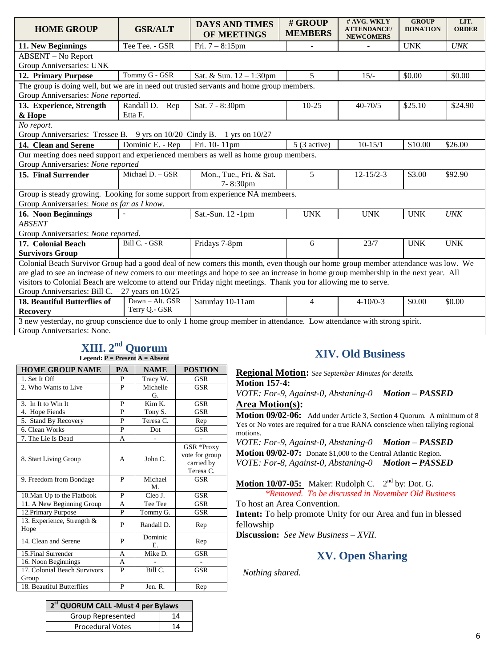| <b>HOME GROUP</b>                                                                                                                    | <b>GSR/ALT</b>   | <b>DAYS AND TIMES</b><br>OF MEETINGS | # GROUP<br><b>MEMBERS</b> | # AVG. WKLY<br><b>ATTENDANCE/</b><br><b>NEWCOMERS</b> | <b>GROUP</b><br><b>DONATION</b> | LIT.<br><b>ORDER</b> |  |  |
|--------------------------------------------------------------------------------------------------------------------------------------|------------------|--------------------------------------|---------------------------|-------------------------------------------------------|---------------------------------|----------------------|--|--|
| 11. New Beginnings                                                                                                                   | Tee Tee. - GSR   | Fri. $7 - 8:15$ pm                   |                           |                                                       | <b>UNK</b>                      | UNK                  |  |  |
| <b>ABSENT</b> – No Report                                                                                                            |                  |                                      |                           |                                                       |                                 |                      |  |  |
| Group Anniversaries: UNK                                                                                                             |                  |                                      |                           |                                                       |                                 |                      |  |  |
| 12. Primary Purpose                                                                                                                  | Tommy G - GSR    | Sat. & Sun. 12 - 1:30pm              | 5                         | $15/-$                                                | \$0.00                          | \$0.00               |  |  |
| The group is doing well, but we are in need out trusted servants and home group members.                                             |                  |                                      |                           |                                                       |                                 |                      |  |  |
| Group Anniversaries: None reported.                                                                                                  |                  |                                      |                           |                                                       |                                 |                      |  |  |
| 13. Experience, Strength                                                                                                             | Randall D. - Rep | Sat. 7 - 8:30pm                      | $10 - 25$                 | $40 - 70/5$                                           | \$25.10                         | \$24.90              |  |  |
| & Hope                                                                                                                               | Etta F.          |                                      |                           |                                                       |                                 |                      |  |  |
| No report.                                                                                                                           |                  |                                      |                           |                                                       |                                 |                      |  |  |
| Group Anniversaries: Tressee B. - 9 yrs on $10/20$ Cindy B. - 1 yrs on $10/27$                                                       |                  |                                      |                           |                                                       |                                 |                      |  |  |
| 14. Clean and Serene                                                                                                                 | Dominic E. - Rep | Fri. 10-11pm                         | $5(3 \text{ active})$     | $10 - 15/1$                                           | \$10.00                         | \$26.00              |  |  |
| Our meeting does need support and experienced members as well as home group members.                                                 |                  |                                      |                           |                                                       |                                 |                      |  |  |
| Group Anniversaries: None reported                                                                                                   |                  |                                      |                           |                                                       |                                 |                      |  |  |
| 15. Final Surrender                                                                                                                  | Michael D. - GSR | Mon., Tue., Fri. & Sat.              | 5                         | $12 - 15/2 - 3$                                       | \$3.00                          | \$92.90              |  |  |
|                                                                                                                                      |                  | 7-8:30pm                             |                           |                                                       |                                 |                      |  |  |
| Group is steady growing. Looking for some support from experience NA membeers.                                                       |                  |                                      |                           |                                                       |                                 |                      |  |  |
| Group Anniversaries: None as far as I know.                                                                                          |                  |                                      |                           |                                                       |                                 |                      |  |  |
| 16. Noon Beginnings                                                                                                                  |                  | Sat.-Sun. 12 -1pm                    | <b>UNK</b>                | <b>UNK</b>                                            | <b>UNK</b>                      | <b>UNK</b>           |  |  |
| <b>ABSENT</b>                                                                                                                        |                  |                                      |                           |                                                       |                                 |                      |  |  |
| Group Anniversaries: None reported.                                                                                                  |                  |                                      |                           |                                                       |                                 |                      |  |  |
| 17. Colonial Beach                                                                                                                   | Bill C. - GSR    | Fridays 7-8pm                        | 6                         | 23/7                                                  | <b>UNK</b>                      | <b>UNK</b>           |  |  |
| <b>Survivors Group</b>                                                                                                               |                  |                                      |                           |                                                       |                                 |                      |  |  |
| Colonial Beach Survivor Group had a good deal of new comers this month, even though our home group member attendance was low. We     |                  |                                      |                           |                                                       |                                 |                      |  |  |
| are glad to see an increase of new comers to our meetings and hope to see an increase in home group membership in the next year. All |                  |                                      |                           |                                                       |                                 |                      |  |  |
| visitors to Colonial Beach are welcome to attend our Friday night meetings. Thank you for allowing me to serve.                      |                  |                                      |                           |                                                       |                                 |                      |  |  |
| Group Anniversaries: Bill C. $-27$ years on 10/25                                                                                    |                  |                                      |                           |                                                       |                                 |                      |  |  |
| 18. Beautiful Butterflies of                                                                                                         | Dawn - Alt. GSR  | Saturday 10-11am                     | 4                         | $4 - 10/0 - 3$                                        | \$0.00                          | \$0.00               |  |  |
| <b>Recovery</b>                                                                                                                      | Terry Q.- GSR    |                                      |                           |                                                       |                                 |                      |  |  |

3 new yesterday, no group conscience due to only 1 home group member in attendance. Low attendance with strong spirit. Group Anniversaries: None.

# **XIII. 2 nd Quorum**

| <b>HOME GROUP NAME</b>                | P/A | <b>NAME</b>    | <b>POSTION</b>                                          |
|---------------------------------------|-----|----------------|---------------------------------------------------------|
| 1. Set It Off                         | P   | Tracy W.       | <b>GSR</b>                                              |
| 2. Who Wants to Live                  | P   | Michelle<br>G. | <b>GSR</b>                                              |
| 3. In It to Win It                    | P   | Kim K.         | <b>GSR</b>                                              |
| 4. Hope Fiends                        | P   | Tony S.        | <b>GSR</b>                                              |
| 5. Stand By Recovery                  | P   | Teresa C.      | Rep                                                     |
| 6. Clean Works                        | P   | Dot            | <b>GSR</b>                                              |
| 7. The Lie Is Dead                    | A   |                |                                                         |
| 8. Start Living Group                 | A   | John C.        | GSR *Proxy<br>vote for group<br>carried by<br>Teresa C. |
| 9. Freedom from Bondage               | P   | Michael<br>M.  | <b>GSR</b>                                              |
| 10. Man Up to the Flatbook            | P   | Cleo J.        | <b>GSR</b>                                              |
| 11. A New Beginning Group             | A   | Tee Tee        | <b>GSR</b>                                              |
| 12. Primary Purpose                   | P   | Tommy G.       | <b>GSR</b>                                              |
| 13. Experience, Strength &<br>Hope    | P   | Randall D.     | Rep                                                     |
| 14. Clean and Serene                  | P   | Dominic<br>Е.  | Rep                                                     |
| 15. Final Surrender                   | A   | Mike D.        | <b>GSR</b>                                              |
| 16. Noon Beginnings                   | A   |                |                                                         |
| 17. Colonial Beach Survivors<br>Group | P   | Bill C.        | <b>GSR</b>                                              |
| 18. Beautiful Butterflies             | P   | Jen. R.        | Rep                                                     |

# **XIV. Old Business**

**Regional Motion:** *See September Minutes for details.*  **Motion 157-4:**

*VOTE: For-9, Against-0, Abstaning-0 Motion – PASSED* **Area Motion(s):** 

**Motion 09/02-06:** Add under Article 3, Section 4 Quorum. A minimum of 8 Yes or No votes are required for a true RANA conscience when tallying regional motions.

*VOTE: For-9, Against-0, Abstaning-0 Motion – PASSED* **Motion 09/02-07:** Donate \$1,000 to the Central Atlantic Region. *VOTE: For-8, Against-0, Abstaning-0 Motion – PASSED*

**Motion 10/07-05:** Maker: Rudolph C. 2<sup>nd</sup> by: Dot. G.

*\*Removed. To be discussed in November Old Business*

To host an Area Convention.

**Intent:** To help promote Unity for our Area and fun in blessed fellowship

**Discussion:** *See New Business – XVII.*

# **XV. Open Sharing**

*Nothing shared.*

| 2 <sup>st</sup> QUORUM CALL - Must 4 per Bylaws |    |  |  |  |
|-------------------------------------------------|----|--|--|--|
| Group Represented                               | 14 |  |  |  |
| <b>Procedural Votes</b>                         | 14 |  |  |  |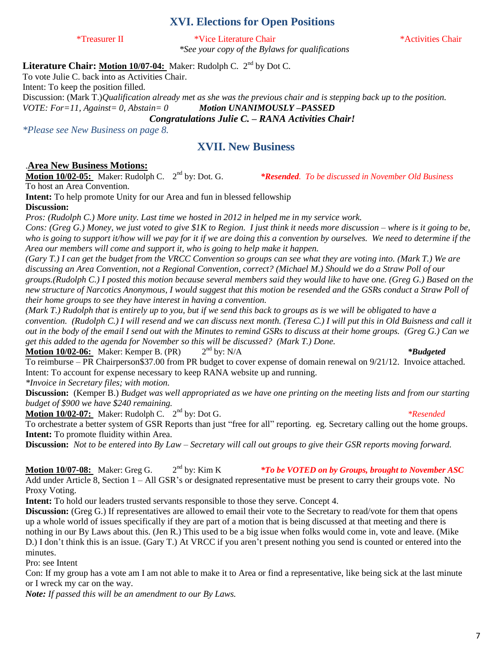# **XVI. Elections for Open Positions**

\*Treasurer II \*Vice Literature Chair \*Activities Chair *\*See your copy of the Bylaws for qualifications*

\*Resended. To be discussed in November Old Business

Literature Chair: Motion 10/07-04: Maker: Rudolph C. 2<sup>nd</sup> by Dot C.

To vote Julie C. back into as Activities Chair.

Intent: To keep the position filled.

Discussion: (Mark T.)*Qualification already met as she was the previous chair and is stepping back up to the position. VOTE: For=11, Against= 0, Abstain= 0 Motion UNANIMOUSLY –PASSED*

*Congratulations Julie C. – RANA Activities Chair!*

*\*Please see New Business on page 8.*

### **XVII. New Business**

#### .**Area New Business Motions:**

**Motion 10/02-05:** Maker: Rudolph C. 2<sup>nd</sup> by: Dot. G. To host an Area Convention.

**Intent:** To help promote Unity for our Area and fun in blessed fellowship **Discussion:**

*Pros: (Rudolph C.) More unity. Last time we hosted in 2012 in helped me in my service work.*

*Cons: (Greg G.) Money, we just voted to give \$1K to Region. I just think it needs more discussion – where is it going to be, who is going to support it/how will we pay for it if we are doing this a convention by ourselves. We need to determine if the Area our members will come and support it, who is going to help make it happen.*

*(Gary T.) I can get the budget from the VRCC Convention so groups can see what they are voting into. (Mark T.) We are discussing an Area Convention, not a Regional Convention, correct? (Michael M.) Should we do a Straw Poll of our groups.(Rudolph C.) I posted this motion because several members said they would like to have one. (Greg G.) Based on the new structure of Narcotics Anonymous, I would suggest that this motion be resended and the GSRs conduct a Straw Poll of their home groups to see they have interest in having a convention.*

*(Mark T.) Rudolph that is entirely up to you, but if we send this back to groups as is we will be obligated to have a convention. (Rudolph C.) I will resend and we can discuss next month. (Teresa C.) I will put this in Old Buisness and call it out in the body of the email I send out with the Minutes to remind GSRs to discuss at their home groups. (Greg G.) Can we get this added to the agenda for November so this will be discussed? (Mark T.) Done.*

**Motion 10/02-06:** Maker: Kemper B. (PR) 2<sup>nd</sup> by: N/A *\*Budgeted* To reimburse – PR Chairperson\$37.00 from PR budget to cover expense of domain renewal on 9/21/12. Invoice attached. Intent: To account for expense necessary to keep RANA website up and running.

*\*Invoice in Secretary files; with motion.*

**Discussion:** (Kemper B.) *Budget was well appropriated as we have one printing on the meeting lists and from our starting budget of \$900 we have \$240 remaining.*

**Motion 10/02-07:** Maker: Rudolph C. 2<sup>nd</sup> by: Dot G. *<i>\*Resended* 

#### To orchestrate a better system of GSR Reports than just "free for all" reporting. eg. Secretary calling out the home groups. **Intent:** To promote fluidity within Area.

**Discussion:** *Not to be entered into By Law – Secretary will call out groups to give their GSR reports moving forward.*

**Motion 10/07-08:** Maker: Greg G.  $2<sup>nd</sup>$  by: Kim K \*To be VOTED on by Groups, brought to November ASC Add under Article 8, Section 1 – All GSR's or designated representative must be present to carry their groups vote. No Proxy Voting.

**Intent:** To hold our leaders trusted servants responsible to those they serve. Concept 4.

**Discussion:** (Greg G.) If representatives are allowed to email their vote to the Secretary to read/vote for them that opens up a whole world of issues specifically if they are part of a motion that is being discussed at that meeting and there is nothing in our By Laws about this. (Jen R.) This used to be a big issue when folks would come in, vote and leave. (Mike D.) I don't think this is an issue. (Gary T.) At VRCC if you aren't present nothing you send is counted or entered into the minutes.

Pro: see Intent

Con: If my group has a vote am I am not able to make it to Area or find a representative, like being sick at the last minute or I wreck my car on the way.

*Note: If passed this will be an amendment to our By Laws.*